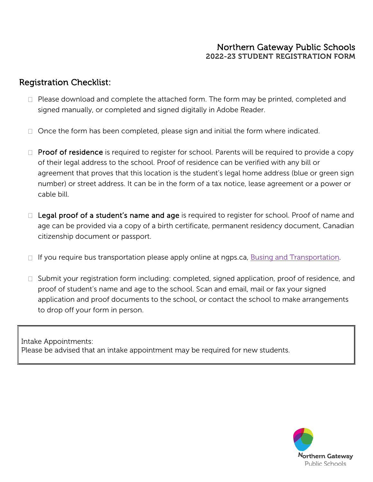## Northern Gateway Public Schools 2022-23 STUDENT REGISTRATION FORM

# Registration Checklist:

- $\Box$  Please download and complete the attached form. The form may be printed, completed and signed manually, or completed and signed digitally in Adobe Reader.
- $\Box$  Once the form has been completed, please sign and initial the form where indicated.
- $\Box$  Proof of residence is required to register for school. Parents will be required to provide a copy of their legal address to the school. Proof of residence can be verified with any bill or agreement that proves that this location is the student's legal home address (blue or green sign number) or street address. It can be in the form of a tax notice, lease agreement or a power or cable bill.
- $\Box$  Legal proof of a student's name and age is required to register for school. Proof of name and age can be provided via a copy of a birth certificate, permanent residency document, Canadian citizenship document or passport.
- $\Box$  If you require bus transportation please apply online at ngps.ca, [Busing](https://www.ngps.ca/students-and-parents/busing-and-transportation2) and Transportation.
- □ Submit your registration form including: completed, signed application, proof of residence, and proof of student's name and age to the school. Scan and email, mail or fax your signed application and proof documents to the school, or contact the school to make arrangements to drop off your form in person.

Intake Appointments: Please be advised that an intake appointment may be required for new students.

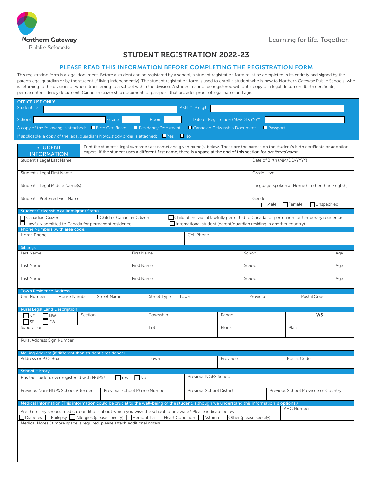

### STUDENT REGISTRATION 2022-23

### PLEASE READ THIS INFORMATION BEFORE COMPLETING THE REGISTRATION FORM

This registration form is a legal document. Before a student can be registered by a school, a student registration form must be completed in its entirety and signed by the parent/legal guardian or by the student (if living independently). The student registration form is used to enroll a student who is new to Northern Gateway Public Schools, who is returning to the division, or who is transferring to a school within the division. A student cannot be registered without a copy of a legal document (birth certificate, permanent residency document, Canadian citizenship document, or passport) that provides proof of legal name and age.

| <b>OFFICE USE ONLY</b><br>Student ID #                                                                                                                                                                                              |                                                                                                                                                                                                                                                                          | ASN # (9 digits)                                                                                                                                             |                                       |                                     |     |  |
|-------------------------------------------------------------------------------------------------------------------------------------------------------------------------------------------------------------------------------------|--------------------------------------------------------------------------------------------------------------------------------------------------------------------------------------------------------------------------------------------------------------------------|--------------------------------------------------------------------------------------------------------------------------------------------------------------|---------------------------------------|-------------------------------------|-----|--|
|                                                                                                                                                                                                                                     |                                                                                                                                                                                                                                                                          |                                                                                                                                                              |                                       |                                     |     |  |
| School<br>Grade<br>Birth Certificate<br>A copy of the following is attached:                                                                                                                                                        | Room<br>Residency Document                                                                                                                                                                                                                                               | Date of Registration (MM/DD/YYYY<br>Canadian Citizenship Document                                                                                            | <b>Passport</b>                       |                                     |     |  |
| If applicable, a copy of the legal quardianship/custody order is attached: $\Box$ Yes $\Box$ No                                                                                                                                     |                                                                                                                                                                                                                                                                          |                                                                                                                                                              |                                       |                                     |     |  |
| <b>STUDENT</b>                                                                                                                                                                                                                      | Print the student's legal surname (last name) and given name(s) below. These are the names on the student's birth certificate or adoption<br>papers. If the student uses a different first name, there is a space at the end of this section for <i>preferred name</i> . |                                                                                                                                                              |                                       |                                     |     |  |
| Student's Legal Last Name                                                                                                                                                                                                           | <b>INFORMATION</b><br>Date of Birth (MM/DD/YYYY)                                                                                                                                                                                                                         |                                                                                                                                                              |                                       |                                     |     |  |
| Student's Legal First Name                                                                                                                                                                                                          |                                                                                                                                                                                                                                                                          |                                                                                                                                                              | Grade Level                           |                                     |     |  |
| Student's Legal Middle Name(s)<br>Language Spoken at Home (if other than English)                                                                                                                                                   |                                                                                                                                                                                                                                                                          |                                                                                                                                                              |                                       |                                     |     |  |
| Student's Preferred First Name<br>Gender<br>$\Box$ Male                                                                                                                                                                             |                                                                                                                                                                                                                                                                          |                                                                                                                                                              | $\Box$ Female<br><b>N</b> Unspecified |                                     |     |  |
| <b>Student Citizenship or Immigrant Status</b>                                                                                                                                                                                      |                                                                                                                                                                                                                                                                          |                                                                                                                                                              |                                       |                                     |     |  |
| Child of Canadian Citizen<br>Canadian Citizen<br>Lawfully admitted to Canada for permanent residence                                                                                                                                |                                                                                                                                                                                                                                                                          | Child of individual lawfully permitted to Canada for permanent or temporary residence<br>International student (parent/guardian residing in another country) |                                       |                                     |     |  |
| Phone Numbers (with area code)                                                                                                                                                                                                      |                                                                                                                                                                                                                                                                          |                                                                                                                                                              |                                       |                                     |     |  |
| Home Phone                                                                                                                                                                                                                          |                                                                                                                                                                                                                                                                          | Cell Phone                                                                                                                                                   |                                       |                                     |     |  |
| <b>Siblings</b><br>Last Name                                                                                                                                                                                                        | First Name                                                                                                                                                                                                                                                               |                                                                                                                                                              | School                                |                                     | Age |  |
| Last Name                                                                                                                                                                                                                           | First Name                                                                                                                                                                                                                                                               | School                                                                                                                                                       |                                       |                                     | Age |  |
| Last Name                                                                                                                                                                                                                           | First Name                                                                                                                                                                                                                                                               |                                                                                                                                                              | School                                |                                     | Age |  |
| <b>Town Residence Address</b>                                                                                                                                                                                                       |                                                                                                                                                                                                                                                                          |                                                                                                                                                              |                                       |                                     |     |  |
| Unit Number<br>House Number<br><b>Street Name</b>                                                                                                                                                                                   | Street Type                                                                                                                                                                                                                                                              | Town                                                                                                                                                         | Province                              | Postal Code                         |     |  |
| <b>Rural Legal Land Description</b><br>Section<br><b>NE</b><br><b>NW</b>                                                                                                                                                            | Township                                                                                                                                                                                                                                                                 | Range                                                                                                                                                        |                                       | W <sub>5</sub>                      |     |  |
| SE <sub>s</sub><br><b>SW</b><br>Subdivision                                                                                                                                                                                         | Lot                                                                                                                                                                                                                                                                      | <b>Block</b>                                                                                                                                                 |                                       | Plan                                |     |  |
|                                                                                                                                                                                                                                     |                                                                                                                                                                                                                                                                          |                                                                                                                                                              |                                       |                                     |     |  |
| Rural Address Sign Number                                                                                                                                                                                                           |                                                                                                                                                                                                                                                                          |                                                                                                                                                              |                                       |                                     |     |  |
| Mailing Address (if different than student's residence)                                                                                                                                                                             |                                                                                                                                                                                                                                                                          |                                                                                                                                                              |                                       |                                     |     |  |
| Address or P.O. Box                                                                                                                                                                                                                 | Town                                                                                                                                                                                                                                                                     | Province                                                                                                                                                     |                                       | Postal Code                         |     |  |
| <b>School History</b><br>Previous NGPS School<br>Has the student ever registered with NGPS?<br><b>No</b><br><b>P</b> Yes                                                                                                            |                                                                                                                                                                                                                                                                          |                                                                                                                                                              |                                       |                                     |     |  |
| Previous Non-NGPS School Attended                                                                                                                                                                                                   | Previous School Phone Number                                                                                                                                                                                                                                             | Previous School District                                                                                                                                     |                                       | Previous School Province or Country |     |  |
| Medical Information (This information could be crucial to the well-being of the student, although we understand this information is optional)                                                                                       |                                                                                                                                                                                                                                                                          |                                                                                                                                                              |                                       |                                     |     |  |
| AHC Number<br>Are there any serious medical conditions about which you wish the school to be aware? Please indicate below.<br>Diabetes Epilepsy Allergies (please specify) Hemophilia Heart Condition Asthma Other (please specify) |                                                                                                                                                                                                                                                                          |                                                                                                                                                              |                                       |                                     |     |  |
| Medical Notes (If more space is required, please attach additional notes)                                                                                                                                                           |                                                                                                                                                                                                                                                                          |                                                                                                                                                              |                                       |                                     |     |  |
|                                                                                                                                                                                                                                     |                                                                                                                                                                                                                                                                          |                                                                                                                                                              |                                       |                                     |     |  |
|                                                                                                                                                                                                                                     |                                                                                                                                                                                                                                                                          |                                                                                                                                                              |                                       |                                     |     |  |
|                                                                                                                                                                                                                                     |                                                                                                                                                                                                                                                                          |                                                                                                                                                              |                                       |                                     |     |  |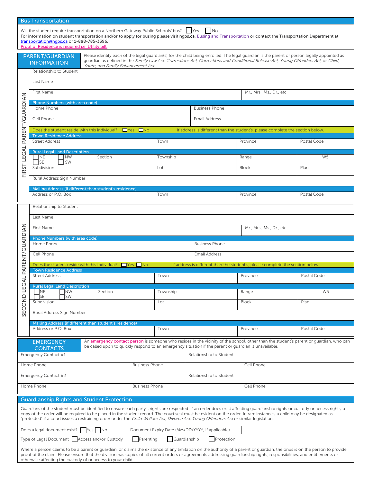|                                                                                                                                                                                                                                                                                                                                                                   | <b>Bus Transportation</b>                                                                                                                                                                                                                                                                                                                                                                                                                                                                                                                                  |                                                                                                                                        |                           |                           |                |  |
|-------------------------------------------------------------------------------------------------------------------------------------------------------------------------------------------------------------------------------------------------------------------------------------------------------------------------------------------------------------------|------------------------------------------------------------------------------------------------------------------------------------------------------------------------------------------------------------------------------------------------------------------------------------------------------------------------------------------------------------------------------------------------------------------------------------------------------------------------------------------------------------------------------------------------------------|----------------------------------------------------------------------------------------------------------------------------------------|---------------------------|---------------------------|----------------|--|
| Will the student require transportation on a Northern Gateway Public Schools' bus? No<br>For information on student transportation and/or to apply for busing please visit ngps.ca, Busing and Transportation or contact the Transportation Department at<br>transportation@ngps.ca or 1-888-785-3396.<br>Proof of Residence is required i.e. Utility bill        |                                                                                                                                                                                                                                                                                                                                                                                                                                                                                                                                                            |                                                                                                                                        |                           |                           |                |  |
| Please identify each of the legal quardian(s) for the child being enrolled. The legal quardian is the parent or person legally appointed as<br>PARENT/GUARDIAN<br>quardian as defined in the Family Law Act, Corrections Act, Corrections and Conditional Release Act, Young Offenders Act, or Child,<br><b>INFORMATION</b><br>Youth, and Family Enhancement Act. |                                                                                                                                                                                                                                                                                                                                                                                                                                                                                                                                                            |                                                                                                                                        |                           |                           |                |  |
|                                                                                                                                                                                                                                                                                                                                                                   | Relationship to Student                                                                                                                                                                                                                                                                                                                                                                                                                                                                                                                                    |                                                                                                                                        |                           |                           |                |  |
| <b>PARENT/GUARDIAN</b>                                                                                                                                                                                                                                                                                                                                            | Last Name                                                                                                                                                                                                                                                                                                                                                                                                                                                                                                                                                  |                                                                                                                                        |                           |                           |                |  |
|                                                                                                                                                                                                                                                                                                                                                                   | First Name                                                                                                                                                                                                                                                                                                                                                                                                                                                                                                                                                 |                                                                                                                                        |                           | Mr., Mrs., Ms., Dr., etc. |                |  |
|                                                                                                                                                                                                                                                                                                                                                                   | Phone Numbers (with area code)<br>Home Phone                                                                                                                                                                                                                                                                                                                                                                                                                                                                                                               |                                                                                                                                        | <b>Business Phone</b>     |                           |                |  |
|                                                                                                                                                                                                                                                                                                                                                                   | Cell Phone                                                                                                                                                                                                                                                                                                                                                                                                                                                                                                                                                 |                                                                                                                                        | Email Address             |                           |                |  |
|                                                                                                                                                                                                                                                                                                                                                                   | $\Box$ Yes $\Box$ No<br>If address is different than the student's, please complete the section below.                                                                                                                                                                                                                                                                                                                                                                                                                                                     |                                                                                                                                        |                           |                           |                |  |
|                                                                                                                                                                                                                                                                                                                                                                   | Does the student reside with this individual?<br><b>Town Residence Address</b>                                                                                                                                                                                                                                                                                                                                                                                                                                                                             |                                                                                                                                        |                           |                           |                |  |
| FIRST LEGAL                                                                                                                                                                                                                                                                                                                                                       | <b>Street Address</b>                                                                                                                                                                                                                                                                                                                                                                                                                                                                                                                                      | Town                                                                                                                                   |                           | Province                  | Postal Code    |  |
|                                                                                                                                                                                                                                                                                                                                                                   | <b>Rural Legal Land Description</b><br><b>TNE</b><br><b>NW</b><br>Section                                                                                                                                                                                                                                                                                                                                                                                                                                                                                  | Township                                                                                                                               |                           | Range                     | W <sub>5</sub> |  |
|                                                                                                                                                                                                                                                                                                                                                                   | <b>SE</b><br>SW<br>Subdivision                                                                                                                                                                                                                                                                                                                                                                                                                                                                                                                             | Lot                                                                                                                                    |                           | <b>Block</b>              | Plan           |  |
|                                                                                                                                                                                                                                                                                                                                                                   | Rural Address Sign Number                                                                                                                                                                                                                                                                                                                                                                                                                                                                                                                                  |                                                                                                                                        |                           |                           |                |  |
|                                                                                                                                                                                                                                                                                                                                                                   | Mailing Address (if different than student's residence)                                                                                                                                                                                                                                                                                                                                                                                                                                                                                                    |                                                                                                                                        |                           |                           |                |  |
|                                                                                                                                                                                                                                                                                                                                                                   | Address or P.O. Box                                                                                                                                                                                                                                                                                                                                                                                                                                                                                                                                        | Town                                                                                                                                   |                           | Province                  | Postal Code    |  |
|                                                                                                                                                                                                                                                                                                                                                                   | Relationship to Student                                                                                                                                                                                                                                                                                                                                                                                                                                                                                                                                    |                                                                                                                                        |                           |                           |                |  |
|                                                                                                                                                                                                                                                                                                                                                                   | Last Name                                                                                                                                                                                                                                                                                                                                                                                                                                                                                                                                                  |                                                                                                                                        |                           |                           |                |  |
|                                                                                                                                                                                                                                                                                                                                                                   | First Name                                                                                                                                                                                                                                                                                                                                                                                                                                                                                                                                                 |                                                                                                                                        | Mr., Mrs., Ms., Dr., etc. |                           |                |  |
| PARENT/GUARDIAN                                                                                                                                                                                                                                                                                                                                                   | Phone Numbers (with area code)                                                                                                                                                                                                                                                                                                                                                                                                                                                                                                                             |                                                                                                                                        |                           |                           |                |  |
|                                                                                                                                                                                                                                                                                                                                                                   | Home Phone                                                                                                                                                                                                                                                                                                                                                                                                                                                                                                                                                 |                                                                                                                                        | <b>Business Phone</b>     |                           |                |  |
|                                                                                                                                                                                                                                                                                                                                                                   | Cell Phone<br><b>Email Address</b><br>If address is different than the student's, please complete the section below.                                                                                                                                                                                                                                                                                                                                                                                                                                       |                                                                                                                                        |                           |                           |                |  |
|                                                                                                                                                                                                                                                                                                                                                                   | Does the student reside with this individual? $\Box$ Yes $\Box$ No<br><b>Town Residence Address</b>                                                                                                                                                                                                                                                                                                                                                                                                                                                        |                                                                                                                                        |                           |                           |                |  |
|                                                                                                                                                                                                                                                                                                                                                                   |                                                                                                                                                                                                                                                                                                                                                                                                                                                                                                                                                            | Town                                                                                                                                   |                           | Province                  | Postal Code    |  |
|                                                                                                                                                                                                                                                                                                                                                                   | <b>Street Address</b>                                                                                                                                                                                                                                                                                                                                                                                                                                                                                                                                      |                                                                                                                                        |                           |                           |                |  |
| GAL<br>ய்                                                                                                                                                                                                                                                                                                                                                         | <b>Rural Legal Land Description</b><br>NE NW<br>Section                                                                                                                                                                                                                                                                                                                                                                                                                                                                                                    | Township                                                                                                                               |                           | Range                     | W <sub>5</sub> |  |
|                                                                                                                                                                                                                                                                                                                                                                   | 1se<br>SW<br>Subdivision                                                                                                                                                                                                                                                                                                                                                                                                                                                                                                                                   | Lot                                                                                                                                    |                           | <b>Block</b>              | Plan           |  |
| SECOND                                                                                                                                                                                                                                                                                                                                                            | Rural Address Sign Number                                                                                                                                                                                                                                                                                                                                                                                                                                                                                                                                  |                                                                                                                                        |                           |                           |                |  |
|                                                                                                                                                                                                                                                                                                                                                                   | Mailing Address (if different than student's residence)                                                                                                                                                                                                                                                                                                                                                                                                                                                                                                    |                                                                                                                                        |                           |                           |                |  |
|                                                                                                                                                                                                                                                                                                                                                                   | Address or P.O. Box                                                                                                                                                                                                                                                                                                                                                                                                                                                                                                                                        | Town                                                                                                                                   |                           | Province                  | Postal Code    |  |
|                                                                                                                                                                                                                                                                                                                                                                   | <b>EMERGENCY</b>                                                                                                                                                                                                                                                                                                                                                                                                                                                                                                                                           | An emergency contact person is someone who resides in the vicinity of the school, other than the student's parent or guardian, who can |                           |                           |                |  |
|                                                                                                                                                                                                                                                                                                                                                                   | <b>CONTACTS</b><br>Emergency Contact #1                                                                                                                                                                                                                                                                                                                                                                                                                                                                                                                    | be called upon to quickly respond to an emergency situation if the parent or guardian is unavailable.                                  | Relationship to Student   |                           |                |  |
|                                                                                                                                                                                                                                                                                                                                                                   | Home Phone                                                                                                                                                                                                                                                                                                                                                                                                                                                                                                                                                 | <b>Business Phone</b>                                                                                                                  |                           | Cell Phone                |                |  |
|                                                                                                                                                                                                                                                                                                                                                                   | Emergency Contact #2                                                                                                                                                                                                                                                                                                                                                                                                                                                                                                                                       |                                                                                                                                        | Relationship to Student   |                           |                |  |
|                                                                                                                                                                                                                                                                                                                                                                   | Home Phone                                                                                                                                                                                                                                                                                                                                                                                                                                                                                                                                                 | <b>Business Phone</b>                                                                                                                  |                           | Cell Phone                |                |  |
|                                                                                                                                                                                                                                                                                                                                                                   |                                                                                                                                                                                                                                                                                                                                                                                                                                                                                                                                                            |                                                                                                                                        |                           |                           |                |  |
|                                                                                                                                                                                                                                                                                                                                                                   | <b>Guardianship Rights and Student Protection</b><br>Guardians of the student must be identified to ensure each party's rights are respected. If an order does exist affecting quardianship rights or custody or access rights, a<br>copy of the order will be required to be placed in the student record. The court seal must be evident on the order. In rare instances, a child may be designated as<br>"protected" if a court issues a restraining order under the <i>Child Welfare Act, Divorce Act, Young Offenders Act</i> or similar legislation. |                                                                                                                                        |                           |                           |                |  |
|                                                                                                                                                                                                                                                                                                                                                                   | Does a legal document exist?   Yes   No                                                                                                                                                                                                                                                                                                                                                                                                                                                                                                                    | Document Expiry Date (MM/DD/YYYY, if applicable)                                                                                       |                           |                           |                |  |
|                                                                                                                                                                                                                                                                                                                                                                   | Type of Legal Document   Access and/or Custody                                                                                                                                                                                                                                                                                                                                                                                                                                                                                                             | Parenting<br>Guardianship                                                                                                              | Protection                |                           |                |  |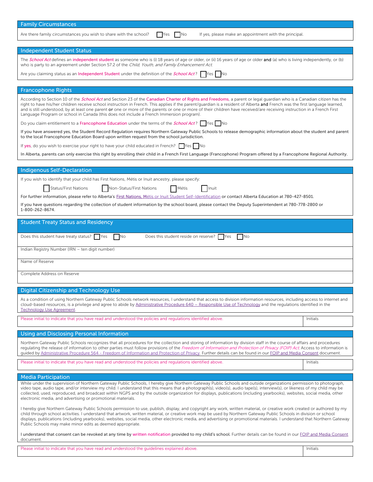| <b>Family Circumstances</b>                                                                                                                                                                                                                                                                                                                                                                                                                                                                                                                                                                                                                                                                                                                                                                                                                                                                                                                 |          |  |  |
|---------------------------------------------------------------------------------------------------------------------------------------------------------------------------------------------------------------------------------------------------------------------------------------------------------------------------------------------------------------------------------------------------------------------------------------------------------------------------------------------------------------------------------------------------------------------------------------------------------------------------------------------------------------------------------------------------------------------------------------------------------------------------------------------------------------------------------------------------------------------------------------------------------------------------------------------|----------|--|--|
| Are there family circumstances you wish to share with the school?<br><b>No</b><br>If yes, please make an appointment with the principal.<br><b>Yes</b>                                                                                                                                                                                                                                                                                                                                                                                                                                                                                                                                                                                                                                                                                                                                                                                      |          |  |  |
|                                                                                                                                                                                                                                                                                                                                                                                                                                                                                                                                                                                                                                                                                                                                                                                                                                                                                                                                             |          |  |  |
| <b>Independent Student Status</b>                                                                                                                                                                                                                                                                                                                                                                                                                                                                                                                                                                                                                                                                                                                                                                                                                                                                                                           |          |  |  |
| The <i>School Act</i> defines an independent student as someone who is (i) 18 years of age or older, or (ii) 16 years of age or older and (a) who is living independently, or (b)<br>who is party to an agreement under Section 57.2 of the Child, Youth, and Family Enhancement Act.                                                                                                                                                                                                                                                                                                                                                                                                                                                                                                                                                                                                                                                       |          |  |  |
| Are you claiming status as an Independent Student under the definition of the <i>School Act</i> ?   Yes   No                                                                                                                                                                                                                                                                                                                                                                                                                                                                                                                                                                                                                                                                                                                                                                                                                                |          |  |  |
|                                                                                                                                                                                                                                                                                                                                                                                                                                                                                                                                                                                                                                                                                                                                                                                                                                                                                                                                             |          |  |  |
| <b>Francophone Rights</b>                                                                                                                                                                                                                                                                                                                                                                                                                                                                                                                                                                                                                                                                                                                                                                                                                                                                                                                   |          |  |  |
| According to Section 10 of the <i>School Act</i> and Section 23 of the Canadian Charter of Rights and Freedoms, a parent or legal guardian who is a Canadian citizen has the<br>right to have his/her children receive school instruction in French. This applies if the parent/guardian is a resident of Alberta and French was the first language learned,<br>and is still understood, by at least one parent or one or more of the parents or one or more of their children have received/are receiving instruction in a French First<br>Language Program or school in Canada (this does not include a French Immersion program).<br>Do you claim entitlement to a Francophone Education under the terms of the <i>School Act</i> ? $\Box$ Yes $\Box$ No                                                                                                                                                                                 |          |  |  |
| If you have answered yes, the Student Record Regulation requires Northern Gateway Public Schools to release demographic information about the student and parent<br>to the local Francophone Education Board upon written request from the school jurisdiction.                                                                                                                                                                                                                                                                                                                                                                                                                                                                                                                                                                                                                                                                             |          |  |  |
| If yes, do you wish to exercise your right to have your child educated in French? $\Box$ Yes $\Box$ No                                                                                                                                                                                                                                                                                                                                                                                                                                                                                                                                                                                                                                                                                                                                                                                                                                      |          |  |  |
| In Alberta, parents can only exercise this right by enrolling their child in a French First Language (Francophone) Program offered by a Francophone Regional Authority.                                                                                                                                                                                                                                                                                                                                                                                                                                                                                                                                                                                                                                                                                                                                                                     |          |  |  |
|                                                                                                                                                                                                                                                                                                                                                                                                                                                                                                                                                                                                                                                                                                                                                                                                                                                                                                                                             |          |  |  |
| <b>Indigenous Self-Declaration</b>                                                                                                                                                                                                                                                                                                                                                                                                                                                                                                                                                                                                                                                                                                                                                                                                                                                                                                          |          |  |  |
| If you wish to identify that your child has First Nations, Métis or Inuit ancestry, please specify:<br><b>Status/First Nations</b><br>Non-Status/First Nations<br>Métis<br>Inuit<br>For further information, please refer to Alberta's First Nations, Métis or Inuit Student Self-Identification or contact Alberta Education at 780-427-8501.<br>If you have questions regarding the collection of student information by the school board, please contact the Deputy Superintendent at 780-778-2800 or<br>1-800-262-8674.                                                                                                                                                                                                                                                                                                                                                                                                                 |          |  |  |
| <b>Student Treaty Status and Residency</b>                                                                                                                                                                                                                                                                                                                                                                                                                                                                                                                                                                                                                                                                                                                                                                                                                                                                                                  |          |  |  |
|                                                                                                                                                                                                                                                                                                                                                                                                                                                                                                                                                                                                                                                                                                                                                                                                                                                                                                                                             |          |  |  |
| Does this student have treaty status? Yes No<br>Does this student reside on reserve? Yes<br>$\overline{\phantom{a}}$ No                                                                                                                                                                                                                                                                                                                                                                                                                                                                                                                                                                                                                                                                                                                                                                                                                     |          |  |  |
| Indian Registry Number (IRN - ten digit number)                                                                                                                                                                                                                                                                                                                                                                                                                                                                                                                                                                                                                                                                                                                                                                                                                                                                                             |          |  |  |
| Name of Reserve                                                                                                                                                                                                                                                                                                                                                                                                                                                                                                                                                                                                                                                                                                                                                                                                                                                                                                                             |          |  |  |
| Complete Address on Reserve                                                                                                                                                                                                                                                                                                                                                                                                                                                                                                                                                                                                                                                                                                                                                                                                                                                                                                                 |          |  |  |
| <b>Digital Citizenship and Technology Use</b>                                                                                                                                                                                                                                                                                                                                                                                                                                                                                                                                                                                                                                                                                                                                                                                                                                                                                               |          |  |  |
| As a condition of using Northern Gateway Public Schools network resources, I understand that access to division information resources, including access to internet and<br>cloud-based resources, is a privilege and agree to abide by Administrative Procedure 640 - Responsible Use of Technology and the regulations identified in the<br>Technology Use Agreement.                                                                                                                                                                                                                                                                                                                                                                                                                                                                                                                                                                      |          |  |  |
| Please initial to indicate that you have read and understood the policies and regulations identified above.                                                                                                                                                                                                                                                                                                                                                                                                                                                                                                                                                                                                                                                                                                                                                                                                                                 | Initials |  |  |
| <b>Using and Disclosing Personal Information</b>                                                                                                                                                                                                                                                                                                                                                                                                                                                                                                                                                                                                                                                                                                                                                                                                                                                                                            |          |  |  |
| Northern Gateway Public Schools recognizes that all procedures for the collection and storing of information by division staff in the course of affairs and procedures<br>requlating the release of information to other parties must follow provisions of the Freedom of Information and Protection of Privacy (FOIP) Act. Access to information is<br>guided by Administrative Procedure 564 - Freedom of Information and Protection of Privacy. Further details can be found in our FOIP and Media Consent document.                                                                                                                                                                                                                                                                                                                                                                                                                     |          |  |  |
| Please initial to indicate that you have read and understood the policies and regulations identified above.                                                                                                                                                                                                                                                                                                                                                                                                                                                                                                                                                                                                                                                                                                                                                                                                                                 | Initials |  |  |
| <b>Media Participation</b>                                                                                                                                                                                                                                                                                                                                                                                                                                                                                                                                                                                                                                                                                                                                                                                                                                                                                                                  |          |  |  |
| While under the supervision of Northern Gateway Public Schools, I hereby give Northern Gateway Public Schools and outside organizations permission to photograph,<br>video tape, audio tape, and/or interview my child. I understand that this means that a photograph(s), video(s), audio tape(s), interview(s), or likeness of my child may be<br>collected, used, reproduced, and broadcast within NGPS and by the outside organization for displays, publications (including yearbooks), websites, social media, other<br>electronic media, and advertising or promotional materials.<br>I hereby give Northern Gateway Public Schools permission to use, publish, display, and copyright any work, written material, or creative work created or authored by my<br>child through school activities. I understand that artwork, written material, or creative work may be used by Northern Gateway Public Schools in division or school |          |  |  |
| displays, publications (including yearbooks), websites, social media, other electronic media, and advertising or promotional materials. I understand that Northern Gateway<br>Public Schools may make minor edits as deemed appropriate.                                                                                                                                                                                                                                                                                                                                                                                                                                                                                                                                                                                                                                                                                                    |          |  |  |
| I understand that consent can be revoked at any time by written notification provided to my child's school. Further details can be found in our FOIP and Media Consent<br>document.                                                                                                                                                                                                                                                                                                                                                                                                                                                                                                                                                                                                                                                                                                                                                         |          |  |  |
| Please initial to indicate that you have read and understood the quidelines explained above.                                                                                                                                                                                                                                                                                                                                                                                                                                                                                                                                                                                                                                                                                                                                                                                                                                                | Initials |  |  |